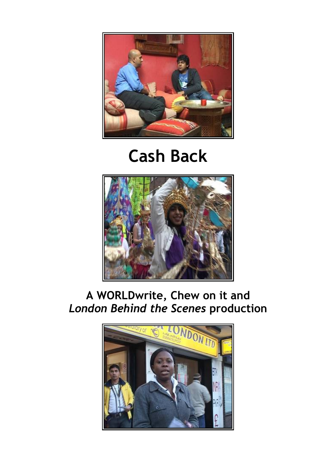

# Cash Back



# A WORLDwrite, Chew on it and London Behind the Scenes production

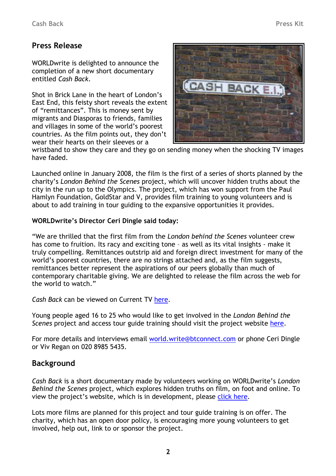# Press Release

WORLDwrite is delighted to announce the completion of a new short documentary entitled Cash Back.

Shot in Brick Lane in the heart of London's East End, this feisty short reveals the extent of "remittances". This is money sent by migrants and Diasporas to friends, families and villages in some of the world's poorest countries. As the film points out, they don't wear their hearts on their sleeves or a



wristband to show they care and they go on sending money when the shocking TV images have faded.

Launched online in January 2008, the film is the first of a series of shorts planned by the charity's London Behind the Scenes project, which will uncover hidden truths about the city in the run up to the Olympics. The project, which has won support from the Paul Hamlyn Foundation, GoldStar and V, provides film training to young volunteers and is about to add training in tour guiding to the expansive opportunities it provides.

#### WORLDwrite's Director Ceri Dingle said today:

"We are thrilled that the first film from the London behind the Scenes volunteer crew has come to fruition. Its racy and exciting tone – as well as its vital insights - make it truly compelling. Remittances outstrip aid and foreign direct investment for many of the world's poorest countries, there are no strings attached and, as the film suggests, remittances better represent the aspirations of our peers globally than much of contemporary charitable giving. We are delighted to release the film across the web for the world to watch."

Cash Back can be viewed on Current TV here.

Young people aged 16 to 25 who would like to get involved in the London Behind the Scenes project and access tour guide training should visit the project website here.

For more details and interviews email world.write@btconnect.com or phone Ceri Dingle or Viv Regan on 020 8985 5435.

## Background

Cash Back is a short documentary made by volunteers working on WORLDwrite's London Behind the Scenes project, which explores hidden truths on film, on foot and online. To view the project's website, which is in development, please click here.

Lots more films are planned for this project and tour guide training is on offer. The charity, which has an open door policy, is encouraging more young volunteers to get involved, help out, link to or sponsor the project.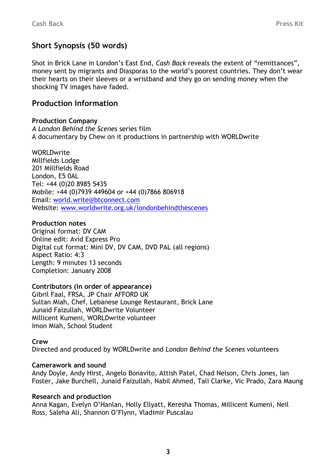# Short Synopsis (50 words)

Shot in Brick Lane in London's East End, Cash Back reveals the extent of "remittances", money sent by migrants and Diasporas to the world's poorest countries. They don't wear their hearts on their sleeves or a wristband and they go on sending money when the shocking TV images have faded.

### Production Information

#### Production Company

A London Behind the Scenes series film A documentary by Chew on it productions in partnership with WORLDwrite

**WORLDwrite** Millfields Lodge 201 Millfields Road London, E5 0AL Tel: +44 (0)20 8985 5435 Mobile: +44 (0)7939 449604 or +44 (0)7866 806918 Email: world.write@btconnect.com Website: www.worldwrite.org.uk/londonbehindthescenes

#### Production notes

Original format: DV CAM Online edit: Avid Express Pro Digital cut format: Mini DV, DV CAM, DVD PAL (all regions) Aspect Ratio: 4:3 Length: 9 minutes 13 seconds Completion: January 2008

#### Contributors (in order of appearance)

Gibril Faal, FRSA, JP Chair AFFORD UK Sultan Miah, Chef, Lebanese Lounge Restaurant, Brick Lane Junaid Faizullah, WORLDwrite Volunteer Millicent Kumeni, WORLDwrite volunteer Imon Miah, School Student

#### Crew

Directed and produced by WORLDwrite and London Behind the Scenes volunteers

#### Camerawork and sound

Andy Doyle, Andy Hirst, Angelo Bonavito, Attish Patel, Chad Nelson, Chris Jones, Ian Foster, Jake Burchell, Junaid Faizullah, Nabil Ahmed, Tali Clarke, Vic Prado, Zara Maung

#### Research and production

Anna Kagan, Evelyn O'Hanlan, Holly Ellyatt, Keresha Thomas, Millicent Kumeni, Neil Ross, Saleha Ali, Shannon O'Flynn, Vladimir Puscalau